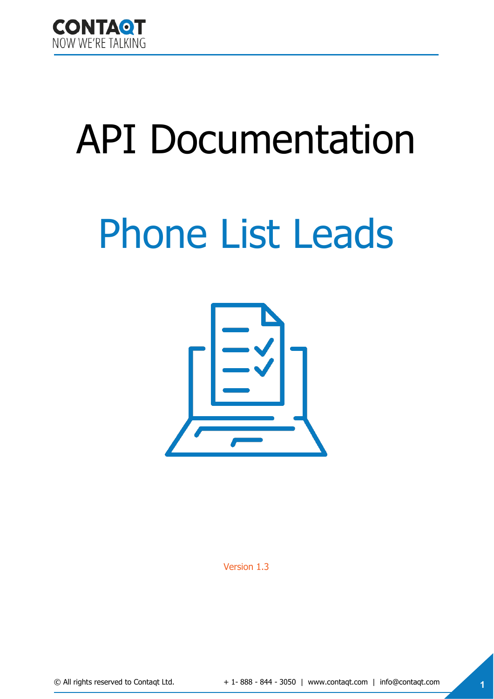

# API Documentation

# Phone List Leads



Version 1.3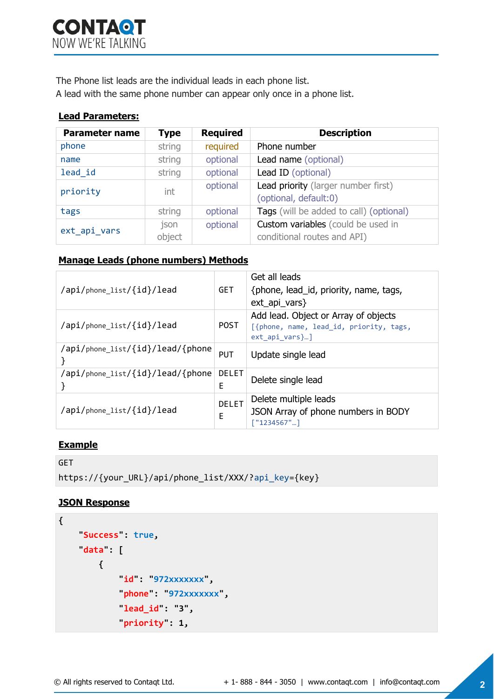The Phone list leads are the individual leads in each phone list.

A lead with the same phone number can appear only once in a phone list.

#### **Lead Parameters:**

| <b>Parameter name</b> | <b>Type</b> | <b>Required</b> | <b>Description</b>                      |
|-----------------------|-------------|-----------------|-----------------------------------------|
| phone                 | string      | required        | Phone number                            |
| name                  | string      | optional        | Lead name (optional)                    |
| lead id               | string      | optional        | Lead ID (optional)                      |
| priority              | int         | optional        | Lead priority (larger number first)     |
|                       |             |                 | (optional, default:0)                   |
| tags                  | string      | optional        | Tags (will be added to call) (optional) |
| ext_api_vars          | json        | optional        | Custom variables (could be used in      |
|                       | object      |                 | conditional routes and API)             |

#### **Manage Leads (phone numbers) Methods**

| /api/phone list/{id}/lead        | <b>GET</b>        | Get all leads<br>{phone, lead_id, priority, name, tags,<br>$ext\_api\_vars\}$                            |
|----------------------------------|-------------------|----------------------------------------------------------------------------------------------------------|
| /api/phone list/{id}/lead        | <b>POST</b>       | Add lead. Object or Array of objects<br>[{phone, name, lead_id, priority, tags,<br>$ext$ api vars $\}$ ] |
| /api/phone_list/{id}/lead/{phone | <b>PUT</b>        | Update single lead                                                                                       |
| /api/phone_list/{id}/lead/{phone | <b>DELET</b><br>E | Delete single lead                                                                                       |
| /api/phone list/{id}/lead        | <b>DELET</b><br>E | Delete multiple leads<br>JSON Array of phone numbers in BODY<br>[ "1234567"]                             |

## **Example**

```
GET
https://{your_URL}/api/phone_list/XXX/?api_key={key}
```
## **JSON Response**

```
{
     "Success": true, 
     "data": [
          {
               "id": "972xxxxxxx", 
               "phone": "972xxxxxxx", 
               "lead_id": "3", 
               "priority": 1,
```